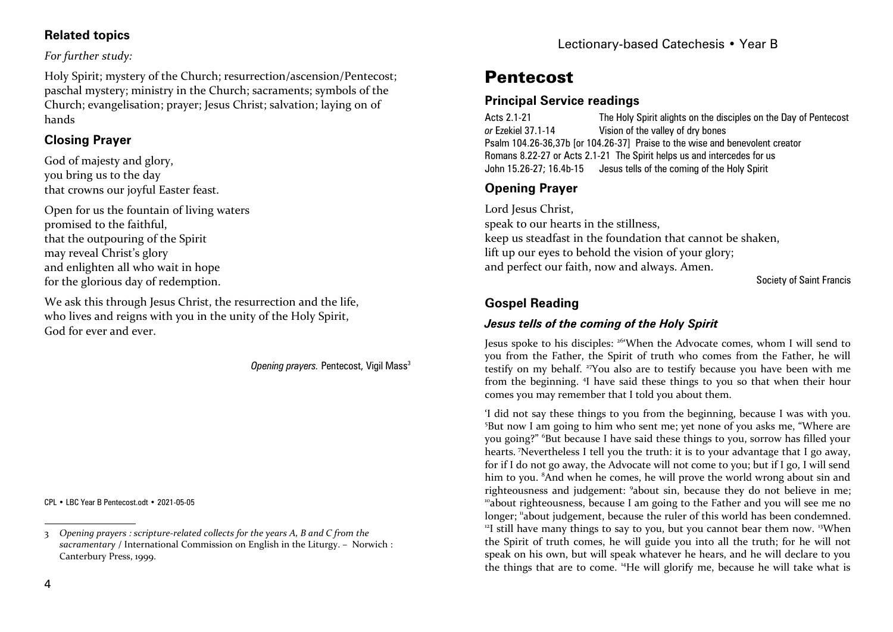#### **Related topics**

#### *For further study:*

Holy Spirit; mystery of the Church; resurrection/ascension/Pentecost; paschal mystery; ministry in the Church; sacraments; symbols of the Church; evangelisation; prayer; Jesus Christ; salvation; laying on of hands

# **Closing Prayer**

God of majesty and glory, you bring us to the day that crowns our joyful Easter feast.

Open for us the fountain of living waters promised to the faithful, that the outpouring of the Spirit may reveal Christ's glory and enlighten all who wait in hope for the glorious day of redemption.

We ask this through Jesus Christ, the resurrection and the life, who lives and reigns with you in the unity of the Holy Spirit, God for ever and ever.

*Opening prayers. Pentecost, Vigil Mass<sup>3</sup>* 

CPL • LBC Year B Pentecost.odt • 2021-05-05

# **Pentecost**

### **Principal Service readings**

Acts 2.1-21 The Holy Spirit alights on the disciples on the Day of Pentecost *or* Ezekiel 37.1-14 Vision of the valley of dry bones Psalm 104.26-36,37b [or 104.26-37] Praise to the wise and benevolent creator Romans 8.22-27 or Acts 2.1-21 The Spirit helps us and intercedes for us John 15.26-27; 16.4b-15 Jesus tells of the coming of the Holy Spirit

# **Opening Prayer**

Lord Jesus Christ, speak to our hearts in the stillness, keep us steadfast in the foundation that cannot be shaken, lift up our eyes to behold the vision of your glory; and perfect our faith, now and always. Amen.

Society of Saint Francis

# **Gospel Reading**

## *Jesus tells of the coming of the Holy Spirit*

Jesus spoke to his disciples: 26'When the Advocate comes, whom I will send to you from the Father, the Spirit of truth who comes from the Father, he will testify on my behalf. 27You also are to testify because you have been with me from the beginning. 4I have said these things to you so that when their hour comes you may remember that I told you about them.

'I did not say these things to you from the beginning, because I was with you. <sup>5</sup>But now I am going to him who sent me; yet none of you asks me, "Where are you going?" 6But because I have said these things to you, sorrow has filled your hearts. 7Nevertheless I tell you the truth: it is to your advantage that I go away, for if I do not go away, the Advocate will not come to you; but if I go, I will send him to you. <sup>8</sup>And when he comes, he will prove the world wrong about sin and righteousness and judgement: 9about sin, because they do not believe in me; <sup>10</sup>about righteousness, because I am going to the Father and you will see me no longer; "about judgement, because the ruler of this world has been condemned.  $12$ I still have many things to say to you, but you cannot bear them now. <sup>13</sup>When the Spirit of truth comes, he will guide you into all the truth; for he will not speak on his own, but will speak whatever he hears, and he will declare to you the things that are to come. 14He will glorify me, because he will take what is

<sup>3</sup> *Opening prayers : scripture-related collects for the years A, B and C from the sacramentary* / International Commission on English in the Liturgy. – Norwich : Canterbury Press, 1999.